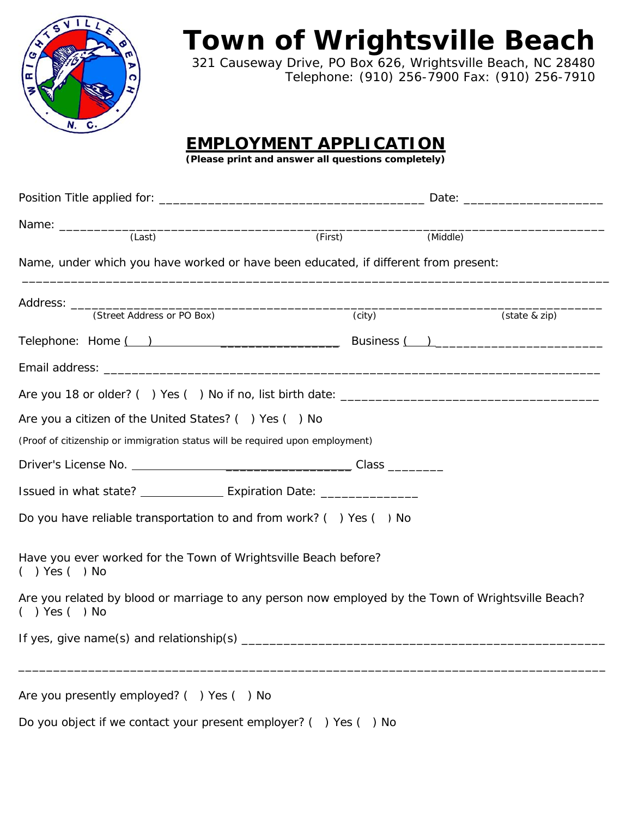

# **Town of Wrightsville Beach**

321 Causeway Drive, PO Box 626, Wrightsville Beach, NC 28480 Telephone: (910) 256-7900 Fax: (910) 256-7910

## **EMPLOYMENT APPLICATION**

**(Please print and answer all questions completely)**

| Name: ___________                                                                                                        |         |               |  |
|--------------------------------------------------------------------------------------------------------------------------|---------|---------------|--|
| (Last)                                                                                                                   | (First) | (Middle)      |  |
| Name, under which you have worked or have been educated, if different from present:                                      |         |               |  |
| Address: <u>(Street Address or PO Box)</u>                                                                               |         |               |  |
|                                                                                                                          | (city)  | (state & zip) |  |
| Telephone: Home ( )                                                                                                      |         | Business ( )  |  |
|                                                                                                                          |         |               |  |
|                                                                                                                          |         |               |  |
| Are you a citizen of the United States? $($ ) Yes $($ ) No                                                               |         |               |  |
| (Proof of citizenship or immigration status will be required upon employment)                                            |         |               |  |
|                                                                                                                          |         |               |  |
| Issued in what state? _________________ Expiration Date: _________________                                               |         |               |  |
| Do you have reliable transportation to and from work? () Yes () No                                                       |         |               |  |
| Have you ever worked for the Town of Wrightsville Beach before?<br>$( )$ Yes $( )$ No                                    |         |               |  |
| Are you related by blood or marriage to any person now employed by the Town of Wrightsville Beach?<br>$( )$ Yes $( )$ No |         |               |  |
|                                                                                                                          |         |               |  |
| Are you presently employed? () Yes () No                                                                                 |         |               |  |

Do you object if we contact your present employer? ( ) Yes ( ) No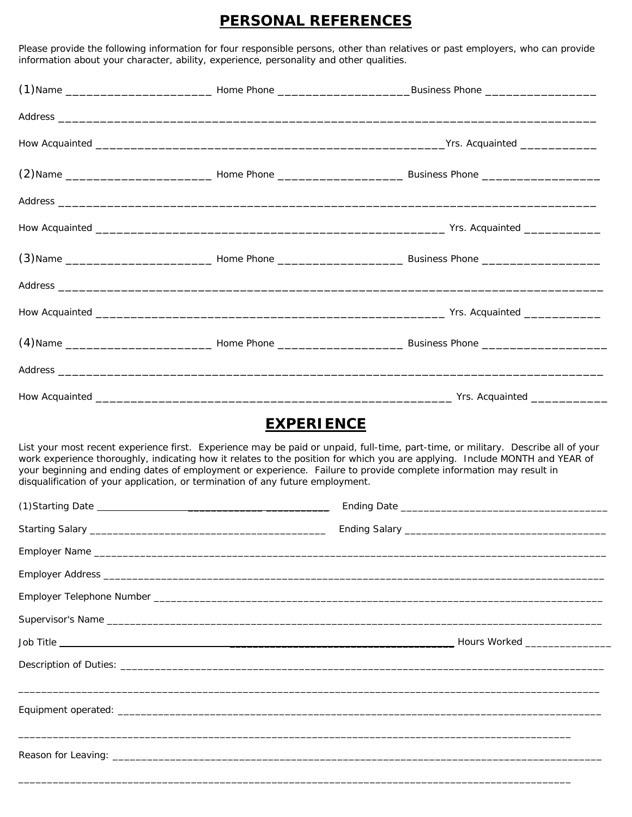#### **PERSONAL REFERENCES**

Please provide the following information for four responsible persons, other than relatives or past employers, who can provide information about your character, ability, experience, personality and other qualities.

|                                                                                | Address <b>contract and a series of the contract of the contract of the contract of the contract of the contract of the contract of the contract of the contract of the contract of the contract of the contract of the contract</b>              |
|--------------------------------------------------------------------------------|---------------------------------------------------------------------------------------------------------------------------------------------------------------------------------------------------------------------------------------------------|
|                                                                                |                                                                                                                                                                                                                                                   |
|                                                                                |                                                                                                                                                                                                                                                   |
|                                                                                |                                                                                                                                                                                                                                                   |
|                                                                                |                                                                                                                                                                                                                                                   |
| disqualification of your application, or termination of any future employment. | work experience thoroughly, indicating how it relates to the position for which you are applying. Include MONTH and YEAR of<br>your beginning and ending dates of employment or experience. Failure to provide complete information may result in |
|                                                                                |                                                                                                                                                                                                                                                   |
|                                                                                |                                                                                                                                                                                                                                                   |
|                                                                                |                                                                                                                                                                                                                                                   |
|                                                                                |                                                                                                                                                                                                                                                   |
|                                                                                |                                                                                                                                                                                                                                                   |
|                                                                                |                                                                                                                                                                                                                                                   |
|                                                                                |                                                                                                                                                                                                                                                   |
|                                                                                |                                                                                                                                                                                                                                                   |
|                                                                                |                                                                                                                                                                                                                                                   |
|                                                                                | <b>EXPERIENCE</b><br>List your most recent experience first. Experience may be paid or unpaid, full-time, part-time, or military. Describe all of your                                                                                            |

 $\_$  ,  $\_$  ,  $\_$  ,  $\_$  ,  $\_$  ,  $\_$  ,  $\_$  ,  $\_$  ,  $\_$  ,  $\_$  ,  $\_$  ,  $\_$  ,  $\_$  ,  $\_$  ,  $\_$  ,  $\_$  ,  $\_$  ,  $\_$  ,  $\_$  ,  $\_$  ,  $\_$  ,  $\_$  ,  $\_$  ,  $\_$  ,  $\_$  ,  $\_$  ,  $\_$  ,  $\_$  ,  $\_$  ,  $\_$  ,  $\_$  ,  $\_$  ,  $\_$  ,  $\_$  ,  $\_$  ,  $\_$  ,  $\_$  ,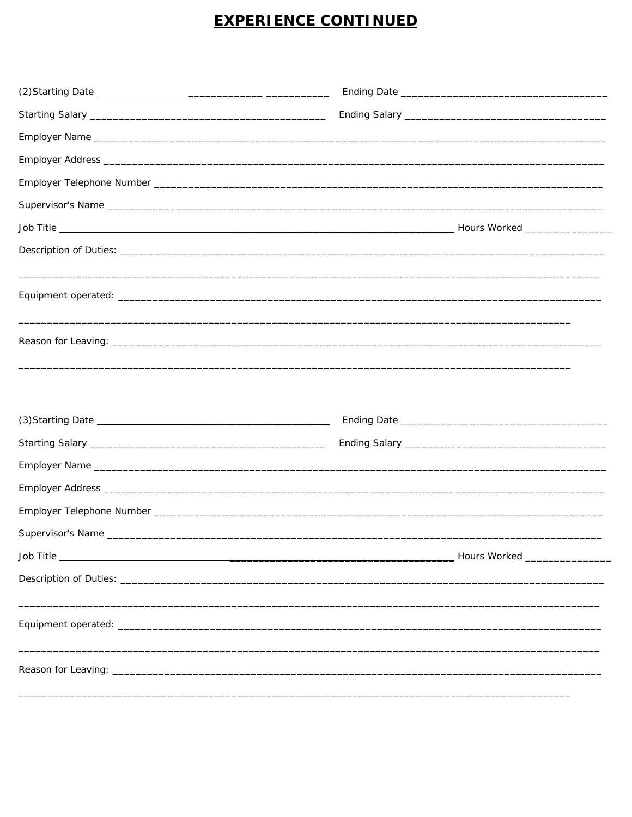# **EXPERIENCE CONTINUED**

| <u> 1990 - Jan James James James James James James James James James James James James James James James James J</u> |  |
|----------------------------------------------------------------------------------------------------------------------|--|
|                                                                                                                      |  |
|                                                                                                                      |  |
|                                                                                                                      |  |
|                                                                                                                      |  |
|                                                                                                                      |  |
|                                                                                                                      |  |
|                                                                                                                      |  |
|                                                                                                                      |  |
|                                                                                                                      |  |
|                                                                                                                      |  |
|                                                                                                                      |  |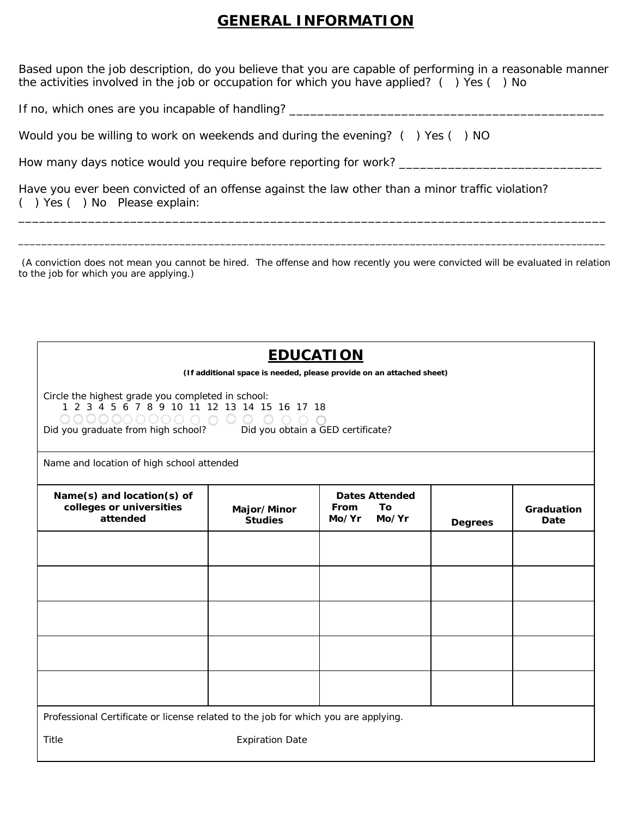#### **GENERAL INFORMATION**

Based upon the job description, do you believe that you are capable of performing in a reasonable manner the activities involved in the job or occupation for which you have applied? ( ) Yes ( ) No

If no, which ones are you incapable of handling? \_\_\_\_\_\_\_\_\_\_\_\_\_\_\_\_\_\_\_\_\_\_\_\_\_\_\_\_\_\_\_\_

Would you be willing to work on weekends and during the evening? () Yes () NO

How many days notice would you require before reporting for work? \_\_\_\_\_\_\_\_\_\_\_\_\_\_\_\_\_\_\_\_\_\_\_\_\_\_\_\_\_

Have you ever been convicted of an offense against the law other than a minor traffic violation? ( ) Yes ( ) No Please explain:

 (A conviction does not mean you cannot be hired. The offense and how recently you were convicted will be evaluated in relation to the job for which you are applying.)

\_\_\_\_\_\_\_\_\_\_\_\_\_\_\_\_\_\_\_\_\_\_\_\_\_\_\_\_\_\_\_\_\_\_\_\_\_\_\_\_\_\_\_\_\_\_\_\_\_\_\_\_\_\_\_\_\_\_\_\_\_\_\_\_\_\_\_\_\_\_\_\_\_\_\_\_\_\_\_\_\_\_\_\_

 $\_$  , and the set of the set of the set of the set of the set of the set of the set of the set of the set of the set of the set of the set of the set of the set of the set of the set of the set of the set of the set of th

| <b>EDUCATION</b>                                                                                                                                                                               |                                                                      |                                                       |                |                    |
|------------------------------------------------------------------------------------------------------------------------------------------------------------------------------------------------|----------------------------------------------------------------------|-------------------------------------------------------|----------------|--------------------|
|                                                                                                                                                                                                | (If additional space is needed, please provide on an attached sheet) |                                                       |                |                    |
| Circle the highest grade you completed in school:<br>1 2 3 4 5 6 7 8 9 10 11 12 13 14 15 16 17 18<br>00000000000000000<br>Did you graduate from high school? Did you obtain a GED certificate? |                                                                      |                                                       |                |                    |
| Name and location of high school attended                                                                                                                                                      |                                                                      |                                                       |                |                    |
| Name(s) and location(s) of<br>colleges or universities<br>attended                                                                                                                             | Major/Minor<br><b>Studies</b>                                        | <b>Dates Attended</b><br>From<br>Τo<br>Mo/Yr<br>Mo/Yr | <b>Degrees</b> | Graduation<br>Date |
|                                                                                                                                                                                                |                                                                      |                                                       |                |                    |
|                                                                                                                                                                                                |                                                                      |                                                       |                |                    |
|                                                                                                                                                                                                |                                                                      |                                                       |                |                    |
|                                                                                                                                                                                                |                                                                      |                                                       |                |                    |
|                                                                                                                                                                                                |                                                                      |                                                       |                |                    |
| Professional Certificate or license related to the job for which you are applying.                                                                                                             |                                                                      |                                                       |                |                    |
| Title                                                                                                                                                                                          | <b>Expiration Date</b>                                               |                                                       |                |                    |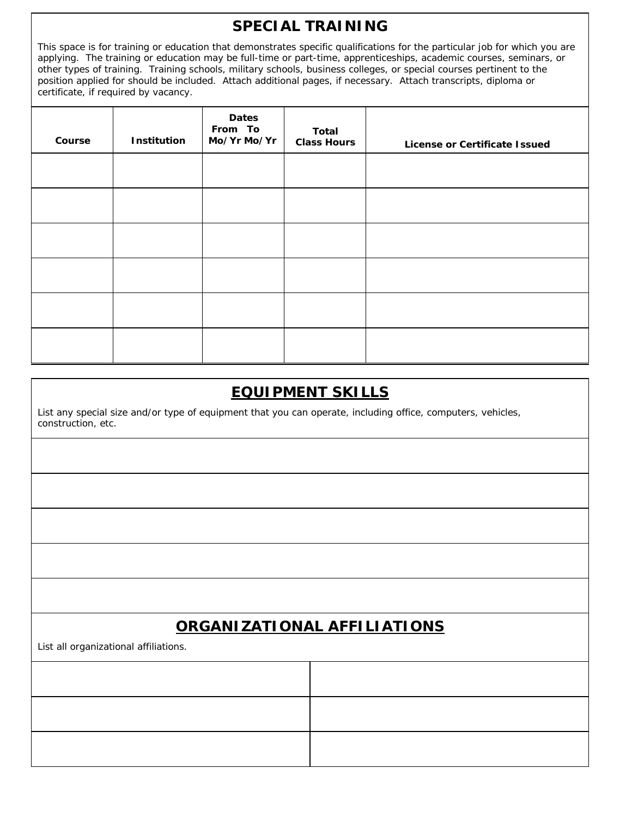#### **SPECIAL TRAINING**

This space is for training or education that demonstrates specific qualifications for the particular job for which you are applying. The training or education may be full-time or part-time, apprenticeships, academic courses, seminars, or other types of training. Training schools, military schools, business colleges, or special courses pertinent to the position applied for should be included. Attach additional pages, if necessary. Attach transcripts, diploma or certificate, if required by vacancy.

| Course | Institution | <b>Dates</b><br>From To<br>Mo/Yr Mo/Yr | <b>Total</b><br><b>Class Hours</b> | License or Certificate Issued |
|--------|-------------|----------------------------------------|------------------------------------|-------------------------------|
|        |             |                                        |                                    |                               |
|        |             |                                        |                                    |                               |
|        |             |                                        |                                    |                               |
|        |             |                                        |                                    |                               |
|        |             |                                        |                                    |                               |
|        |             |                                        |                                    |                               |

| <b>EQUIPMENT SKILLS</b> |  |
|-------------------------|--|
|                         |  |

List any special size and/or type of equipment that you can operate, including office, computers, vehicles, construction, etc.

### **ORGANIZATIONAL AFFILIATIONS**

List all organizational affiliations.